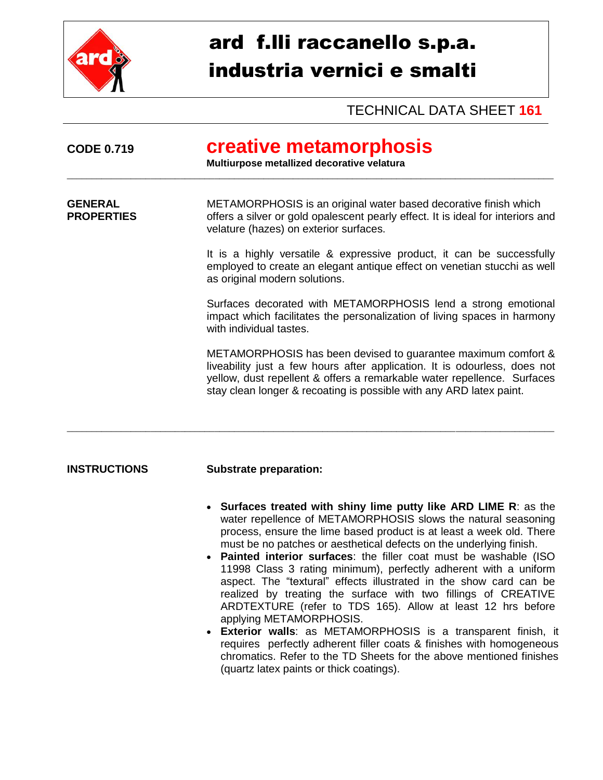

## ard f.lli raccanello s.p.a. industria vernici e smalti

TECHNICAL DATA SHEET **161**

| <b>CODE 0.719</b>                   | <b>creative metamorphosis</b><br>Multiurpose metallized decorative velatura                                                                                                                                                                                                                                                                                                                                                                                                                                                                                                                                                                                                                                                            |  |  |
|-------------------------------------|----------------------------------------------------------------------------------------------------------------------------------------------------------------------------------------------------------------------------------------------------------------------------------------------------------------------------------------------------------------------------------------------------------------------------------------------------------------------------------------------------------------------------------------------------------------------------------------------------------------------------------------------------------------------------------------------------------------------------------------|--|--|
| <b>GENERAL</b><br><b>PROPERTIES</b> | METAMORPHOSIS is an original water based decorative finish which<br>offers a silver or gold opalescent pearly effect. It is ideal for interiors and<br>velature (hazes) on exterior surfaces.                                                                                                                                                                                                                                                                                                                                                                                                                                                                                                                                          |  |  |
|                                     | It is a highly versatile & expressive product, it can be successfully<br>employed to create an elegant antique effect on venetian stucchi as well<br>as original modern solutions.                                                                                                                                                                                                                                                                                                                                                                                                                                                                                                                                                     |  |  |
|                                     | Surfaces decorated with METAMORPHOSIS lend a strong emotional<br>impact which facilitates the personalization of living spaces in harmony<br>with individual tastes.                                                                                                                                                                                                                                                                                                                                                                                                                                                                                                                                                                   |  |  |
|                                     | METAMORPHOSIS has been devised to guarantee maximum comfort &<br>liveability just a few hours after application. It is odourless, does not<br>yellow, dust repellent & offers a remarkable water repellence. Surfaces<br>stay clean longer & recoating is possible with any ARD latex paint.                                                                                                                                                                                                                                                                                                                                                                                                                                           |  |  |
| <b>INSTRUCTIONS</b>                 | <b>Substrate preparation:</b>                                                                                                                                                                                                                                                                                                                                                                                                                                                                                                                                                                                                                                                                                                          |  |  |
|                                     | Surfaces treated with shiny lime putty like ARD LIME R: as the<br>$\bullet$<br>water repellence of METAMORPHOSIS slows the natural seasoning<br>process, ensure the lime based product is at least a week old. There<br>must be no patches or aesthetical defects on the underlying finish.<br>Painted interior surfaces: the filler coat must be washable (ISO<br>11998 Class 3 rating minimum), perfectly adherent with a uniform<br>aspect. The "textural" effects illustrated in the show card can be<br>realized by treating the surface with two fillings of CREATIVE<br>ARDTEXTURE (refer to TDS 165). Allow at least 12 hrs before<br>applying METAMORPHOSIS.<br>Exterior walle: as $METAMOPDHORIC$ is a transparent finish if |  |  |

 **Exterior walls**: as METAMORPHOSIS is a transparent finish, it requires perfectly adherent filler coats & finishes with homogeneous chromatics. Refer to the TD Sheets for the above mentioned finishes (quartz latex paints or thick coatings).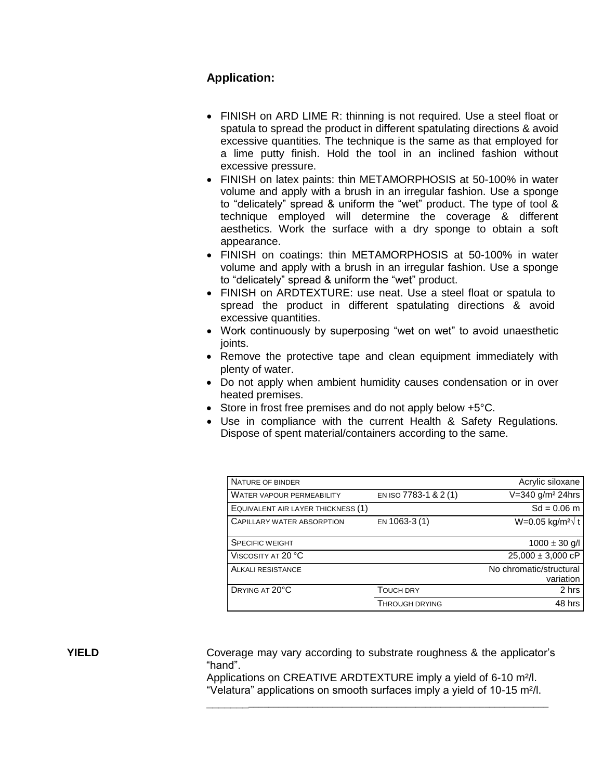## **Application:**

- FINISH on ARD LIME R: thinning is not required. Use a steel float or spatula to spread the product in different spatulating directions & avoid excessive quantities. The technique is the same as that employed for a lime putty finish. Hold the tool in an inclined fashion without excessive pressure.
- FINISH on latex paints: thin METAMORPHOSIS at 50-100% in water volume and apply with a brush in an irregular fashion. Use a sponge to "delicately" spread & uniform the "wet" product. The type of tool & technique employed will determine the coverage & different aesthetics. Work the surface with a dry sponge to obtain a soft appearance.
- FINISH on coatings: thin METAMORPHOSIS at 50-100% in water volume and apply with a brush in an irregular fashion. Use a sponge to "delicately" spread & uniform the "wet" product.
- FINISH on ARDTEXTURE: use neat. Use a steel float or spatula to spread the product in different spatulating directions & avoid excessive quantities.
- Work continuously by superposing "wet on wet" to avoid unaesthetic joints.
- Remove the protective tape and clean equipment immediately with plenty of water.
- Do not apply when ambient humidity causes condensation or in over heated premises.
- Store in frost free premises and do not apply below +5°C.
- Use in compliance with the current Health & Safety Regulations. Dispose of spent material/containers according to the same.

| NATURE OF BINDER                   |                       | Acrylic siloxane                     |
|------------------------------------|-----------------------|--------------------------------------|
| <b>WATER VAPOUR PERMEABILITY</b>   | EN ISO 7783-1 & 2(1)  | V=340 g/m <sup>2</sup> 24hrs         |
| EQUIVALENT AIR LAYER THICKNESS (1) |                       | $Sd = 0.06$ m                        |
| CAPILLARY WATER ABSORPTION         | EN 1063-3 (1)         | W=0.05 kg/m <sup>2</sup> $\sqrt$ t   |
| <b>SPECIFIC WEIGHT</b>             |                       | $1000 \pm 30$ g/l                    |
| VISCOSITY AT 20 °C                 |                       | $25,000 \pm 3,000$ cP                |
| ALKALI RESISTANCE                  |                       | No chromatic/structural<br>variation |
| DRYING AT 20°C                     | <b>TOUCH DRY</b>      | 2 hrs                                |
|                                    | <b>THROUGH DRYING</b> | 48 hrs                               |
|                                    |                       |                                      |

**YIELD** Coverage may vary according to substrate roughness & the applicator's "hand".

> Applications on CREATIVE ARDTEXTURE imply a yield of 6-10 m²/l. "Velatura" applications on smooth surfaces imply a yield of 10-15 m²/l. \_\_\_\_\_\_\_\_\_\_\_\_\_\_\_\_\_\_\_\_\_\_\_\_\_\_\_\_\_\_\_\_\_\_\_\_\_\_\_\_\_\_\_\_\_\_\_\_\_\_\_\_\_\_\_\_\_\_\_\_\_\_\_\_\_\_\_\_